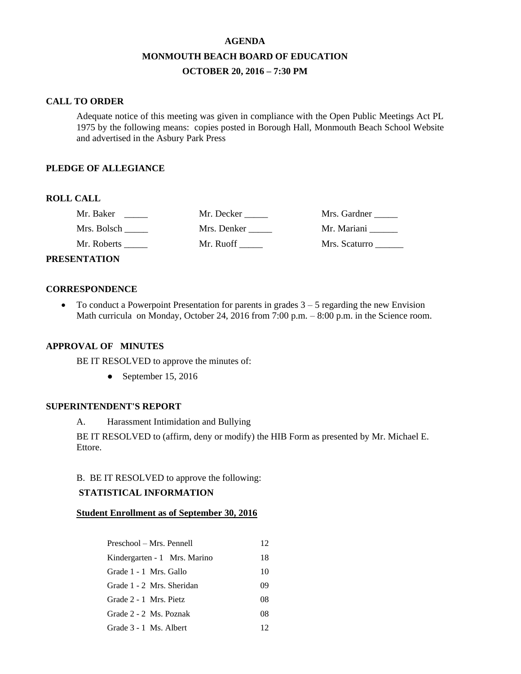# **AGENDA MONMOUTH BEACH BOARD OF EDUCATION OCTOBER 20, 2016 – 7:30 PM**

#### **CALL TO ORDER**

Adequate notice of this meeting was given in compliance with the Open Public Meetings Act PL 1975 by the following means: copies posted in Borough Hall, Monmouth Beach School Website and advertised in the Asbury Park Press

#### **PLEDGE OF ALLEGIANCE**

## **ROLL CALL**

| Mr. Baker    | Mr. Decker  | Mrs. Gardner  |
|--------------|-------------|---------------|
| Mrs. Bolsch  | Mrs. Denker | Mr. Mariani   |
| Mr. Roberts  | Mr. Ruoff   | Mrs. Scaturro |
| ENIT A TIANI |             |               |

# **PRESENTATION**

#### **CORRESPONDENCE**

 $\bullet$  To conduct a Powerpoint Presentation for parents in grades  $3 - 5$  regarding the new Envision Math curricula on Monday, October 24, 2016 from 7:00 p.m. – 8:00 p.m. in the Science room.

#### **APPROVAL OF MINUTES**

BE IT RESOLVED to approve the minutes of:

• September 15, 2016

#### **SUPERINTENDENT'S REPORT**

A. Harassment Intimidation and Bullying

BE IT RESOLVED to (affirm, deny or modify) the HIB Form as presented by Mr. Michael E. Ettore.

## B. BE IT RESOLVED to approve the following:

#### **STATISTICAL INFORMATION**

#### **Student Enrollment as of September 30, 2016**

| Preschool – Mrs. Pennell     | 12 |
|------------------------------|----|
| Kindergarten - 1 Mrs. Marino | 18 |
| Grade 1 - 1 Mrs. Gallo       | 10 |
| Grade 1 - 2 Mrs. Sheridan    | 09 |
| Grade 2 - 1 Mrs. Pietz       | 08 |
| Grade 2 - 2 Ms. Poznak       | 08 |
| Grade 3 - 1 Ms. Albert       | 12 |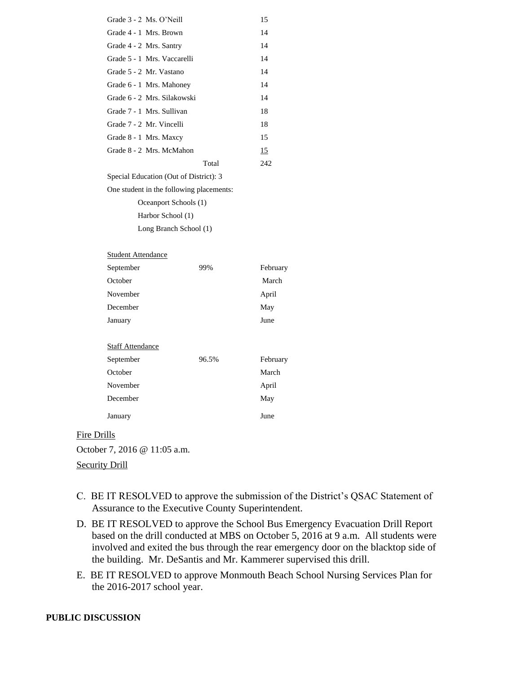| Grade 3 - 2 Ms. O'Neill                  |       | 15       |  |  |
|------------------------------------------|-------|----------|--|--|
| Grade 4 - 1 Mrs. Brown                   |       | 14       |  |  |
| Grade 4 - 2 Mrs. Santry                  |       | 14       |  |  |
| Grade 5 - 1 Mrs. Vaccarelli              |       | 14       |  |  |
| Grade 5 - 2 Mr. Vastano                  |       | 14       |  |  |
| Grade 6 - 1 Mrs. Mahoney                 |       | 14       |  |  |
| Grade 6 - 2 Mrs. Silakowski              |       | 14       |  |  |
| Grade 7 - 1 Mrs. Sullivan                |       | 18       |  |  |
| Grade 7 - 2 Mr. Vincelli                 |       | 18       |  |  |
| Grade 8 - 1 Mrs. Maxcy                   |       | 15       |  |  |
| Grade 8 - 2 Mrs. McMahon                 |       | 15       |  |  |
|                                          | Total | 242      |  |  |
| Special Education (Out of District): 3   |       |          |  |  |
| One student in the following placements: |       |          |  |  |
| Oceanport Schools (1)                    |       |          |  |  |
| Harbor School (1)                        |       |          |  |  |
| Long Branch School (1)                   |       |          |  |  |
|                                          |       |          |  |  |
| <b>Student Attendance</b>                |       |          |  |  |
| September                                | 99%   | February |  |  |
| October                                  |       | March    |  |  |
| November                                 |       | April    |  |  |
| December                                 |       | May      |  |  |
| January                                  |       | June     |  |  |
|                                          |       |          |  |  |
| <b>Staff Attendance</b>                  |       |          |  |  |
| September                                | 96.5% | February |  |  |
| October                                  |       | March    |  |  |
| November                                 |       | April    |  |  |
| December                                 |       | May      |  |  |
| January                                  |       | June     |  |  |

Fire Drills October 7, 2016 @ 11:05 a.m. Security Drill

- C. BE IT RESOLVED to approve the submission of the District's QSAC Statement of Assurance to the Executive County Superintendent.
- D. BE IT RESOLVED to approve the School Bus Emergency Evacuation Drill Report based on the drill conducted at MBS on October 5, 2016 at 9 a.m. All students were involved and exited the bus through the rear emergency door on the blacktop side of the building. Mr. DeSantis and Mr. Kammerer supervised this drill.
- E. BE IT RESOLVED to approve Monmouth Beach School Nursing Services Plan for the 2016-2017 school year.

### **PUBLIC DISCUSSION**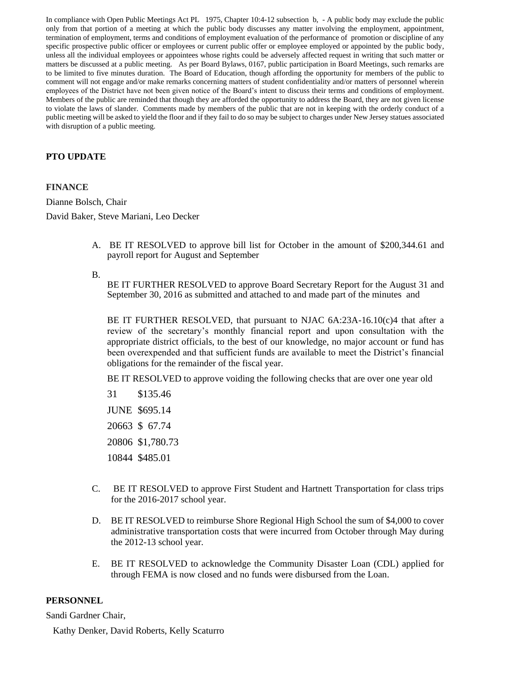In compliance with Open Public Meetings Act PL 1975, Chapter 10:4-12 subsection b, - A public body may exclude the public only from that portion of a meeting at which the public body discusses any matter involving the employment, appointment, termination of employment, terms and conditions of employment evaluation of the performance of promotion or discipline of any specific prospective public officer or employees or current public offer or employee employed or appointed by the public body, unless all the individual employees or appointees whose rights could be adversely affected request in writing that such matter or matters be discussed at a public meeting. As per Board Bylaws, 0167, public participation in Board Meetings, such remarks are to be limited to five minutes duration. The Board of Education, though affording the opportunity for members of the public to comment will not engage and/or make remarks concerning matters of student confidentiality and/or matters of personnel wherein employees of the District have not been given notice of the Board's intent to discuss their terms and conditions of employment. Members of the public are reminded that though they are afforded the opportunity to address the Board, they are not given license to violate the laws of slander. Comments made by members of the public that are not in keeping with the orderly conduct of a public meeting will be asked to yield the floor and if they fail to do so may be subject to charges under New Jersey statues associated with disruption of a public meeting.

## **PTO UPDATE**

#### **FINANCE**

Dianne Bolsch, Chair

David Baker, Steve Mariani, Leo Decker

A. BE IT RESOLVED to approve bill list for October in the amount of \$200,344.61 and payroll report for August and September

#### B.

BE IT FURTHER RESOLVED to approve Board Secretary Report for the August 31 and September 30, 2016 as submitted and attached to and made part of the minutes and

BE IT FURTHER RESOLVED, that pursuant to NJAC  $6A:23A-16.10(c)4$  that after a review of the secretary's monthly financial report and upon consultation with the appropriate district officials, to the best of our knowledge, no major account or fund has been overexpended and that sufficient funds are available to meet the District's financial obligations for the remainder of the fiscal year.

BE IT RESOLVED to approve voiding the following checks that are over one year old

31 \$135.46 JUNE \$695.14 20663 \$ 67.74 20806 \$1,780.73 10844 \$485.01

- C. BE IT RESOLVED to approve First Student and Hartnett Transportation for class trips for the 2016-2017 school year.
- D. BE IT RESOLVED to reimburse Shore Regional High School the sum of \$4,000 to cover administrative transportation costs that were incurred from October through May during the 2012-13 school year.
- E. BE IT RESOLVED to acknowledge the Community Disaster Loan (CDL) applied for through FEMA is now closed and no funds were disbursed from the Loan.

### **PERSONNEL**

Sandi Gardner Chair,

Kathy Denker, David Roberts, Kelly Scaturro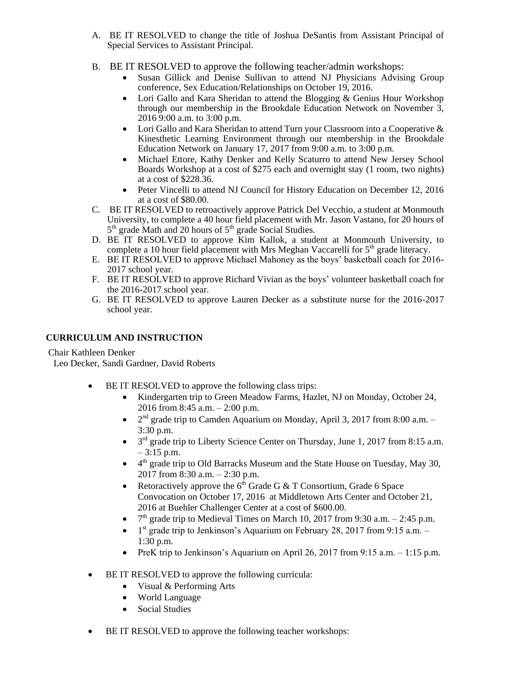- A. BE IT RESOLVED to change the title of Joshua DeSantis from Assistant Principal of Special Services to Assistant Principal.
- B. BE IT RESOLVED to approve the following teacher/admin workshops:
	- Susan Gillick and Denise Sullivan to attend NJ Physicians Advising Group conference, Sex Education/Relationships on October 19, 2016.
	- Lori Gallo and Kara Sheridan to attend the Blogging & Genius Hour Workshop through our membership in the Brookdale Education Network on November  $\hat{3}$ , 2016 9:00 a.m. to 3:00 p.m.
	- Lori Gallo and Kara Sheridan to attend Turn your Classroom into a Cooperative & Kinesthetic Learning Environment through our membership in the Brookdale Education Network on January 17, 2017 from 9:00 a.m. to 3:00 p.m.
	- Michael Ettore, Kathy Denker and Kelly Scaturro to attend New Jersey School Boards Workshop at a cost of \$275 each and overnight stay (1 room, two nights) at a cost of \$228.36.
	- Peter Vincelli to attend NJ Council for History Education on December 12, 2016 at a cost of \$80.00.
- C. BE IT RESOLVED to retroactively approve Patrick Del Vecchio, a student at Monmouth University, to complete a 40 hour field placement with Mr. Jason Vastano, for 20 hours of 5<sup>th</sup> grade Math and 20 hours of 5<sup>th</sup> grade Social Studies.
- D. BE IT RESOLVED to approve Kim Kallok, a student at Monmouth University, to complete a 10 hour field placement with Mrs Meghan Vaccarelli for  $5<sup>th</sup>$  grade literacy.
- E. BE IT RESOLVED to approve Michael Mahoney as the boys' basketball coach for 2016- 2017 school year.
- F. BE IT RESOLVED to approve Richard Vivian as the boys' volunteer basketball coach for the 2016-2017 school year.
- G. BE IT RESOLVED to approve Lauren Decker as a substitute nurse for the 2016-2017 school year.

## **CURRICULUM AND INSTRUCTION**

### Chair Kathleen Denker

Leo Decker, Sandi Gardner, David Roberts

- BE IT RESOLVED to approve the following class trips:
	- Kindergarten trip to Green Meadow Farms, Hazlet, NJ on Monday, October 24, 2016 from 8:45 a.m. – 2:00 p.m.
	- $\bullet$  $2<sup>nd</sup>$  grade trip to Camden Aquarium on Monday, April 3, 2017 from 8:00 a.m. – 3:30 p.m.
	- $\bullet$  $3<sup>rd</sup>$  grade trip to Liberty Science Center on Thursday, June 1, 2017 from 8:15 a.m.  $-3:15$  p.m.
	- $\bullet$  4<sup>th</sup> grade trip to Old Barracks Museum and the State House on Tuesday, May 30, 2017 from 8:30 a.m. – 2:30 p.m.
	- Retoractively approve the  $6<sup>th</sup>$  Grade G & T Consortium, Grade 6 Space Convocation on October 17, 2016 at Middletown Arts Center and October 21, 2016 at Buehler Challenger Center at a cost of \$600.00.
	- $\bullet$  $7<sup>th</sup>$  grade trip to Medieval Times on March 10, 2017 from 9:30 a.m.  $-$  2:45 p.m.
	- $\bullet$  1<sup>st</sup> grade trip to Jenkinson's Aquarium on February 28, 2017 from 9:15 a.m.  $-$ 1:30 p.m.
	- PreK trip to Jenkinson's Aquarium on April 26, 2017 from 9:15 a.m.  $-1:15$  p.m.
- BE IT RESOLVED to approve the following curricula:
	- Visual & Performing Arts
	- World Language
	- Social Studies
- BE IT RESOLVED to approve the following teacher workshops: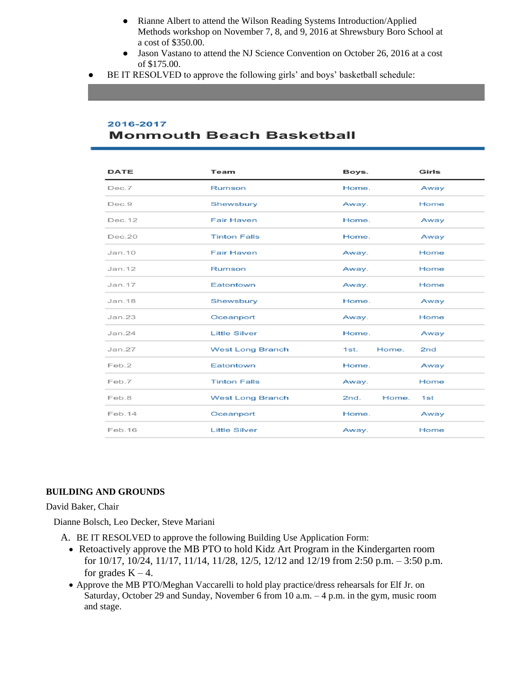- Rianne Albert to attend the Wilson Reading Systems Introduction/Applied Methods workshop on November 7, 8, and 9, 2016 at Shrewsbury Boro School at a cost of \$350.00.
- Jason Vastano to attend the NJ Science Convention on October 26, 2016 at a cost of \$175.00.
- BE IT RESOLVED to approve the following girls' and boys' basketball schedule:

## 2016-2017 **Monmouth Beach Basketball**

| <b>DATE</b> | Team                    | Boys.         | Girls           |
|-------------|-------------------------|---------------|-----------------|
| Dec.7       | Rumson                  | Home.         | Away            |
| Dec.9       | Shewsbury               | Away.         | Home            |
| Dec. 12     | <b>Fair Haven</b>       | Home.         | Away            |
| Dec.20      | <b>Tinton Falls</b>     | Home.         | Away            |
| Jan.10      | <b>Fair Haven</b>       | Away.         | Home            |
| Jan. 12     | Rumson                  | Away.         | Home            |
| Jan.17      | Eatontown               | Away.         | Home            |
| Jan.18      | Shewsbury               | Home.         | Away            |
| Jan.23      | Oceanport               | Away.         | Home            |
| Jan. 24     | <b>Little Silver</b>    | Home.         | Away            |
| Jan. 27     | <b>West Long Branch</b> | Home.<br>1st. | 2 <sub>nd</sub> |
| Feb.2       | Eatontown               | Home.         | Away            |
| Feb.7       | <b>Tinton Falls</b>     | Away.         | Home            |
| Feb.8       | <b>West Long Branch</b> | Home.<br>2nd. | 1st             |
| Feb.14      | Oceanport               | Home.         | Away            |
| Feb.16      | <b>Little Silver</b>    | Away.         | Home            |

#### **BUILDING AND GROUNDS**

David Baker, Chair

Dianne Bolsch, Leo Decker, Steve Mariani

- A. BE IT RESOLVED to approve the following Building Use Application Form:
	- Retoactively approve the MB PTO to hold Kidz Art Program in the Kindergarten room for 10/17, 10/24, 11/17, 11/14, 11/28, 12/5, 12/12 and 12/19 from 2:50 p.m. – 3:50 p.m. for grades  $K - 4$ .
	- Approve the MB PTO/Meghan Vaccarelli to hold play practice/dress rehearsals for Elf Jr. on Saturday, October 29 and Sunday, November 6 from 10 a.m. – 4 p.m. in the gym, music room and stage.